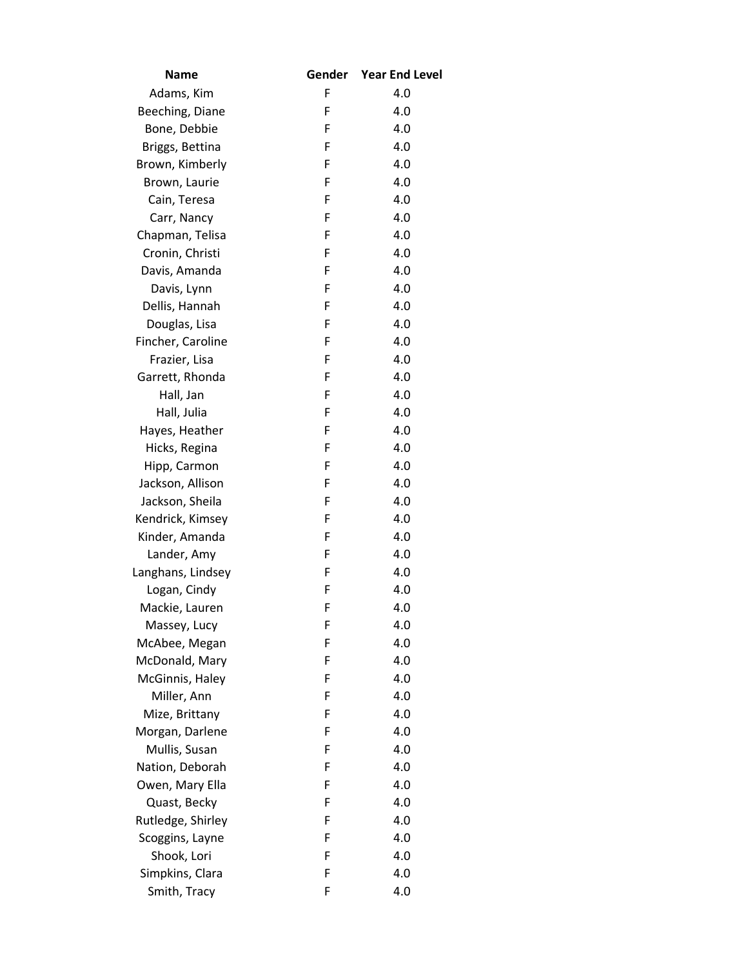| Name              |   | Gender Year End Level |
|-------------------|---|-----------------------|
| Adams, Kim        | F | 4.0                   |
| Beeching, Diane   | F | 4.0                   |
| Bone, Debbie      | F | 4.0                   |
| Briggs, Bettina   | F | 4.0                   |
| Brown, Kimberly   | F | 4.0                   |
| Brown, Laurie     | F | 4.0                   |
| Cain, Teresa      | F | 4.0                   |
| Carr, Nancy       | F | 4.0                   |
| Chapman, Telisa   | F | 4.0                   |
| Cronin, Christi   | F | 4.0                   |
| Davis, Amanda     | F | 4.0                   |
| Davis, Lynn       | F | 4.0                   |
| Dellis, Hannah    | F | 4.0                   |
| Douglas, Lisa     | F | 4.0                   |
| Fincher, Caroline | F | 4.0                   |
| Frazier, Lisa     | F | 4.0                   |
| Garrett, Rhonda   | F | 4.0                   |
| Hall, Jan         | F | 4.0                   |
| Hall, Julia       | F | 4.0                   |
| Hayes, Heather    | F | 4.0                   |
| Hicks, Regina     | F | 4.0                   |
| Hipp, Carmon      | F | 4.0                   |
| Jackson, Allison  | F | 4.0                   |
| Jackson, Sheila   | F | 4.0                   |
| Kendrick, Kimsey  | F | 4.0                   |
| Kinder, Amanda    | F | 4.0                   |
| Lander, Amy       | F | 4.0                   |
| Langhans, Lindsey | F | 4.0                   |
| Logan, Cindy      | F | 4.0                   |
| Mackie, Lauren    | F | 4.0                   |
| Massey, Lucy      | F | 4.0                   |
| McAbee, Megan     | F | 4.0                   |
| McDonald, Mary    | F | 4.0                   |
| McGinnis, Haley   | F | 4.0                   |
| Miller, Ann       | F | 4.0                   |
| Mize, Brittany    | F | 4.0                   |
| Morgan, Darlene   | F | 4.0                   |
| Mullis, Susan     | F | 4.0                   |
| Nation, Deborah   | F | 4.0                   |
| Owen, Mary Ella   | F | 4.0                   |
| Quast, Becky      | F | 4.0                   |
| Rutledge, Shirley | F | 4.0                   |
| Scoggins, Layne   | F | 4.0                   |
| Shook, Lori       | F | 4.0                   |
| Simpkins, Clara   | F | 4.0                   |
| Smith, Tracy      | F | 4.0                   |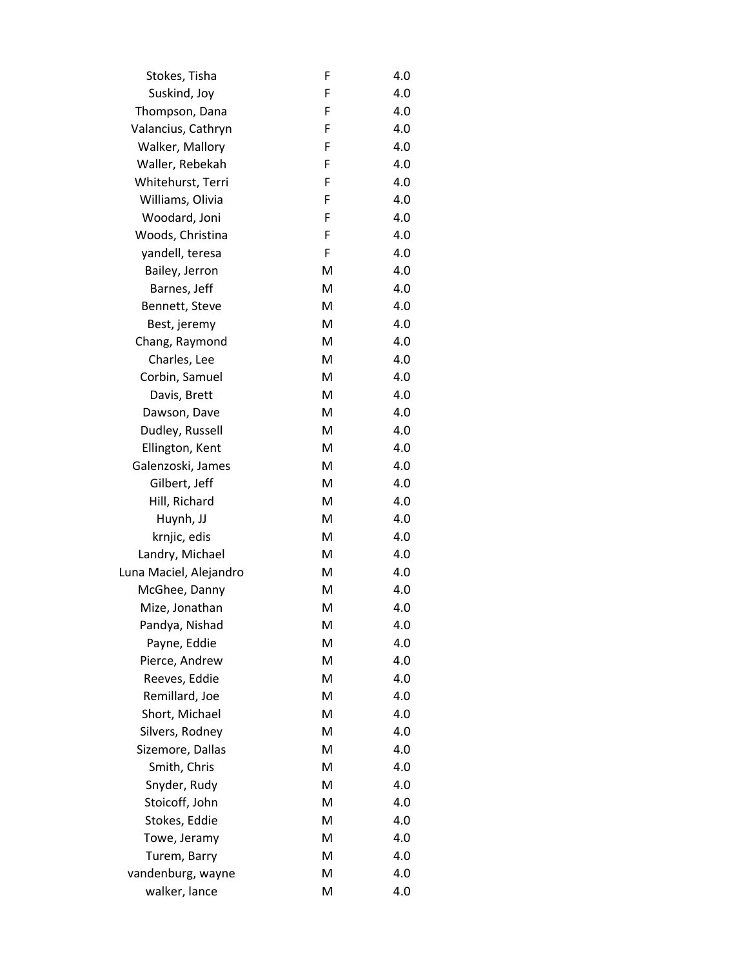| Stokes, Tisha          | F | 4.0 |
|------------------------|---|-----|
| Suskind, Joy           | F | 4.0 |
| Thompson, Dana         | F | 4.0 |
| Valancius, Cathryn     | F | 4.0 |
| Walker, Mallory        | F | 4.0 |
| Waller, Rebekah        | F | 4.0 |
| Whitehurst, Terri      | F | 4.0 |
| Williams, Olivia       | F | 4.0 |
| Woodard, Joni          | F | 4.0 |
| Woods, Christina       | F | 4.0 |
| yandell, teresa        | F | 4.0 |
| Bailey, Jerron         | M | 4.0 |
| Barnes, Jeff           | M | 4.0 |
| Bennett, Steve         | M | 4.0 |
| Best, jeremy           | M | 4.0 |
| Chang, Raymond         | M | 4.0 |
| Charles, Lee           | M | 4.0 |
| Corbin, Samuel         | M | 4.0 |
| Davis, Brett           | M | 4.0 |
| Dawson, Dave           | M | 4.0 |
| Dudley, Russell        | M | 4.0 |
| Ellington, Kent        | M | 4.0 |
| Galenzoski, James      | M | 4.0 |
| Gilbert, Jeff          | M | 4.0 |
| Hill, Richard          | M | 4.0 |
| Huynh, JJ              | M | 4.0 |
| krnjic, edis           | M | 4.0 |
| Landry, Michael        | M | 4.0 |
| Luna Maciel, Alejandro | M | 4.0 |
| McGhee, Danny          | M | 4.0 |
| Mize, Jonathan         | M | 4.0 |
| Pandya, Nishad         | M | 4.0 |
| Payne, Eddie           | M | 4.0 |
| Pierce, Andrew         | M | 4.0 |
| Reeves, Eddie          | M | 4.0 |
| Remillard, Joe         | M | 4.0 |
| Short, Michael         | M | 4.0 |
| Silvers, Rodney        | M | 4.0 |
| Sizemore, Dallas       | M | 4.0 |
| Smith, Chris           | M | 4.0 |
| Snyder, Rudy           | M | 4.0 |
| Stoicoff, John         | M | 4.0 |
| Stokes, Eddie          | M | 4.0 |
| Towe, Jeramy           | M | 4.0 |
| Turem, Barry           | M | 4.0 |
| vandenburg, wayne      | M | 4.0 |
| walker, lance          | M | 4.0 |